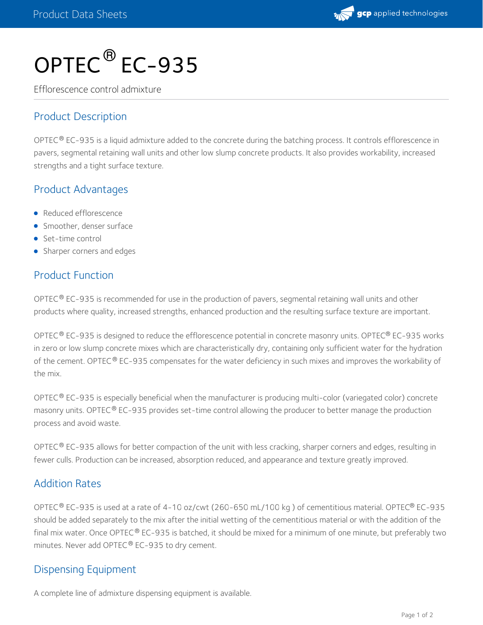

# OPTEC<sup>®</sup> EC-935

Efflorescence control admixture

# Product Description

OPTEC® EC-935 is a liquid admixture added to the concrete during the batching process. It controls efflorescence in pavers, segmental retaining wall units and other low slump concrete products. It also provides workability, increased strengths and a tight surface texture.

### Product Advantages

- Reduced efflorescence
- **Smoother, denser surface**
- Set-time control
- Sharper corners and edges

### Product Function

OPTEC $^\circledR$  EC-935 is recommended for use in the production of pavers, segmental retaining wall units and other products where quality, increased strengths, enhanced production and the resulting surface texture are important.

OPTEC $^\circ$  EC-935 is designed to reduce the efflorescence potential in concrete masonry units. OPTEC $^\circ$  EC-935 works in zero or low slump concrete mixes which are characteristically dry, containing only sufficient water for the hydration of the cement. OPTEC® EC-935 compensates for the water deficiency in such mixes and improves the workability of the mix.

OPTEC® EC-935 is especially beneficial when the manufacturer is producing multi-color (variegated color) concrete masonry units. OPTEC® EC-935 provides set-time control allowing the producer to better manage the production process and avoid waste.

OPTEC® EC-935 allows for better compaction of the unit with less cracking, sharper corners and edges, resulting in fewer culls. Production can be increased, absorption reduced, and appearance and texture greatly improved.

### Addition Rates

OPTEC® EC-935 is used at a rate of 4-10 oz/cwt (260-650 mL/100 kg ) of cementitious material. OPTEC® EC-935 should be added separately to the mix after the initial wetting of the cementitious material or with the addition of the final mix water. Once OPTEC® EC-935 is batched, it should be mixed for a minimum of one minute, but preferably two minutes. Never add OPTEC $^\circledR$  EC-935 to dry cement.

### Dispensing Equipment

A complete line of admixture dispensing equipment is available.